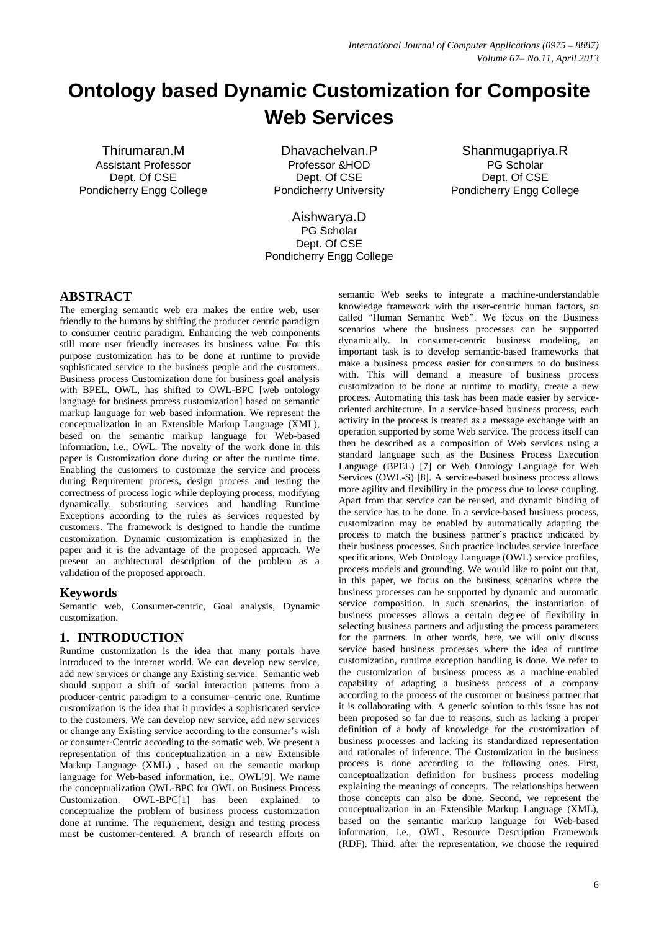# **Ontology based Dynamic Customization for Composite Web Services**

Thirumaran.M Assistant Professor Dept. Of CSE Pondicherry Engg College

Dhavachelvan.P Professor &HOD Dept. Of CSE Pondicherry University

Shanmugapriya.R PG Scholar Dept. Of CSE Pondicherry Engg College

Aishwarya.D PG Scholar Dept. Of CSE Pondicherry Engg College

# **ABSTRACT**

The emerging semantic web era makes the entire web, user friendly to the humans by shifting the producer centric paradigm to consumer centric paradigm. Enhancing the web components still more user friendly increases its business value. For this purpose customization has to be done at runtime to provide sophisticated service to the business people and the customers. Business process Customization done for business goal analysis with BPEL, OWL, has shifted to OWL-BPC [web ontology language for business process customization] based on semantic markup language for web based information. We represent the conceptualization in an Extensible Markup Language (XML), based on the semantic markup language for Web-based information, i.e., OWL. The novelty of the work done in this paper is Customization done during or after the runtime time. Enabling the customers to customize the service and process during Requirement process, design process and testing the correctness of process logic while deploying process, modifying dynamically, substituting services and handling Runtime Exceptions according to the rules as services requested by customers. The framework is designed to handle the runtime customization. Dynamic customization is emphasized in the paper and it is the advantage of the proposed approach. We present an architectural description of the problem as a validation of the proposed approach.

# **Keywords**

Semantic web, Consumer-centric, Goal analysis, Dynamic customization.

# **1. INTRODUCTION**

Runtime customization is the idea that many portals have introduced to the internet world. We can develop new service, add new services or change any Existing service. Semantic web should support a shift of social interaction patterns from a producer-centric paradigm to a consumer–centric one. Runtime customization is the idea that it provides a sophisticated service to the customers. We can develop new service, add new services or change any Existing service according to the consumer's wish or consumer-Centric according to the somatic web. We present a representation of this conceptualization in a new Extensible Markup Language (XML) , based on the semantic markup language for Web-based information, i.e., OWL[9]. We name the conceptualization OWL-BPC for OWL on Business Process Customization. OWL-BPC[1] has been explained to conceptualize the problem of business process customization done at runtime. The requirement, design and testing process must be customer-centered. A branch of research efforts on semantic Web seeks to integrate a machine-understandable knowledge framework with the user-centric human factors, so called "Human Semantic Web". We focus on the Business scenarios where the business processes can be supported dynamically. In consumer-centric business modeling, an important task is to develop semantic-based frameworks that make a business process easier for consumers to do business with. This will demand a measure of business process customization to be done at runtime to modify, create a new process. Automating this task has been made easier by serviceoriented architecture. In a service-based business process, each activity in the process is treated as a message exchange with an operation supported by some Web service. The process itself can then be described as a composition of Web services using a standard language such as the Business Process Execution Language (BPEL) [7] or Web Ontology Language for Web Services (OWL-S) [8]. A service-based business process allows more agility and flexibility in the process due to loose coupling. Apart from that service can be reused, and dynamic binding of the service has to be done. In a service-based business process, customization may be enabled by automatically adapting the process to match the business partner's practice indicated by their business processes. Such practice includes service interface specifications, Web Ontology Language (OWL) service profiles, process models and grounding. We would like to point out that, in this paper, we focus on the business scenarios where the business processes can be supported by dynamic and automatic service composition. In such scenarios, the instantiation of business processes allows a certain degree of flexibility in selecting business partners and adjusting the process parameters for the partners. In other words, here, we will only discuss service based business processes where the idea of runtime customization, runtime exception handling is done. We refer to the customization of business process as a machine-enabled capability of adapting a business process of a company according to the process of the customer or business partner that it is collaborating with. A generic solution to this issue has not been proposed so far due to reasons, such as lacking a proper definition of a body of knowledge for the customization of business processes and lacking its standardized representation and rationales of inference. The Customization in the business process is done according to the following ones. First, conceptualization definition for business process modeling explaining the meanings of concepts. The relationships between those concepts can also be done. Second, we represent the conceptualization in an Extensible Markup Language (XML), based on the semantic markup language for Web-based information, i.e., OWL, Resource Description Framework (RDF). Third, after the representation, we choose the required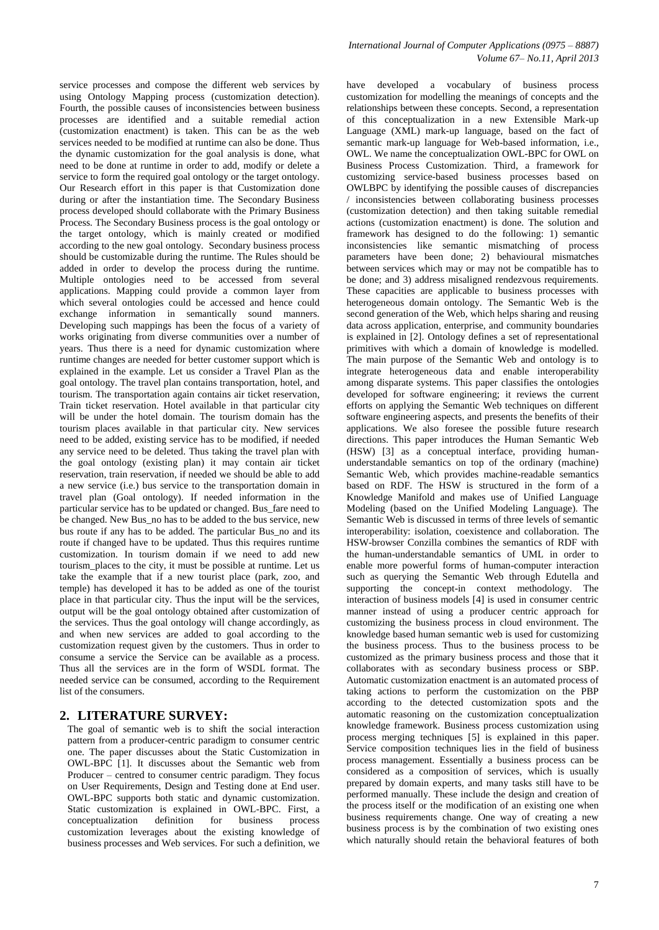service processes and compose the different web services by using Ontology Mapping process (customization detection). Fourth, the possible causes of inconsistencies between business processes are identified and a suitable remedial action (customization enactment) is taken. This can be as the web services needed to be modified at runtime can also be done. Thus the dynamic customization for the goal analysis is done, what need to be done at runtime in order to add, modify or delete a service to form the required goal ontology or the target ontology. Our Research effort in this paper is that Customization done during or after the instantiation time. The Secondary Business process developed should collaborate with the Primary Business Process. The Secondary Business process is the goal ontology or the target ontology, which is mainly created or modified according to the new goal ontology. Secondary business process should be customizable during the runtime. The Rules should be added in order to develop the process during the runtime. Multiple ontologies need to be accessed from several applications. Mapping could provide a common layer from which several ontologies could be accessed and hence could exchange information in semantically sound manners. Developing such mappings has been the focus of a variety of works originating from diverse communities over a number of years. Thus there is a need for dynamic customization where runtime changes are needed for better customer support which is explained in the example. Let us consider a Travel Plan as the goal ontology. The travel plan contains transportation, hotel, and tourism. The transportation again contains air ticket reservation, Train ticket reservation. Hotel available in that particular city will be under the hotel domain. The tourism domain has the tourism places available in that particular city. New services need to be added, existing service has to be modified, if needed any service need to be deleted. Thus taking the travel plan with the goal ontology (existing plan) it may contain air ticket reservation, train reservation, if needed we should be able to add a new service (i.e.) bus service to the transportation domain in travel plan (Goal ontology). If needed information in the particular service has to be updated or changed. Bus\_fare need to be changed. New Bus\_no has to be added to the bus service, new bus route if any has to be added. The particular Bus\_no and its route if changed have to be updated. Thus this requires runtime customization. In tourism domain if we need to add new tourism\_places to the city, it must be possible at runtime. Let us take the example that if a new tourist place (park, zoo, and temple) has developed it has to be added as one of the tourist place in that particular city. Thus the input will be the services, output will be the goal ontology obtained after customization of the services. Thus the goal ontology will change accordingly, as and when new services are added to goal according to the customization request given by the customers. Thus in order to consume a service the Service can be available as a process. Thus all the services are in the form of WSDL format. The needed service can be consumed, according to the Requirement list of the consumers.

# **2. LITERATURE SURVEY:**

The goal of semantic web is to shift the social interaction pattern from a producer-centric paradigm to consumer centric one. The paper discusses about the Static Customization in OWL-BPC [1]. It discusses about the Semantic web from Producer – centred to consumer centric paradigm. They focus on User Requirements, Design and Testing done at End user. OWL-BPC supports both static and dynamic customization. Static customization is explained in OWL-BPC. First, a conceptualization definition for business process customization leverages about the existing knowledge of business processes and Web services. For such a definition, we have developed a vocabulary of business process customization for modelling the meanings of concepts and the relationships between these concepts. Second, a representation of this conceptualization in a new Extensible Mark-up Language (XML) mark-up language, based on the fact of semantic mark-up language for Web-based information, i.e., OWL. We name the conceptualization OWL-BPC for OWL on Business Process Customization. Third, a framework for customizing service-based business processes based on OWLBPC by identifying the possible causes of discrepancies / inconsistencies between collaborating business processes (customization detection) and then taking suitable remedial actions (customization enactment) is done. The solution and framework has designed to do the following: 1) semantic inconsistencies like semantic mismatching of process parameters have been done; 2) behavioural mismatches between services which may or may not be compatible has to be done; and 3) address misaligned rendezvous requirements. These capacities are applicable to business processes with heterogeneous domain ontology. The Semantic Web is the second generation of the Web, which helps sharing and reusing data across application, enterprise, and community boundaries is explained in [2]. Ontology defines a set of representational primitives with which a domain of knowledge is modelled. The main purpose of the Semantic Web and ontology is to integrate heterogeneous data and enable interoperability among disparate systems. This paper classifies the ontologies developed for software engineering; it reviews the current efforts on applying the Semantic Web techniques on different software engineering aspects, and presents the benefits of their applications. We also foresee the possible future research directions. This paper introduces the Human Semantic Web (HSW) [3] as a conceptual interface, providing humanunderstandable semantics on top of the ordinary (machine) Semantic Web, which provides machine-readable semantics based on RDF. The HSW is structured in the form of a Knowledge Manifold and makes use of Unified Language Modeling (based on the Unified Modeling Language). The Semantic Web is discussed in terms of three levels of semantic interoperability: isolation, coexistence and collaboration. The HSW-browser Conzilla combines the semantics of RDF with the human-understandable semantics of UML in order to enable more powerful forms of human-computer interaction such as querying the Semantic Web through Edutella and supporting the concept-in context methodology. The interaction of business models [4] is used in consumer centric manner instead of using a producer centric approach for customizing the business process in cloud environment. The knowledge based human semantic web is used for customizing the business process. Thus to the business process to be customized as the primary business process and those that it collaborates with as secondary business process or SBP. Automatic customization enactment is an automated process of taking actions to perform the customization on the PBP according to the detected customization spots and the automatic reasoning on the customization conceptualization knowledge framework. Business process customization using process merging techniques [5] is explained in this paper. Service composition techniques lies in the field of business process management. Essentially a business process can be considered as a composition of services, which is usually prepared by domain experts, and many tasks still have to be performed manually. These include the design and creation of the process itself or the modification of an existing one when business requirements change. One way of creating a new business process is by the combination of two existing ones which naturally should retain the behavioral features of both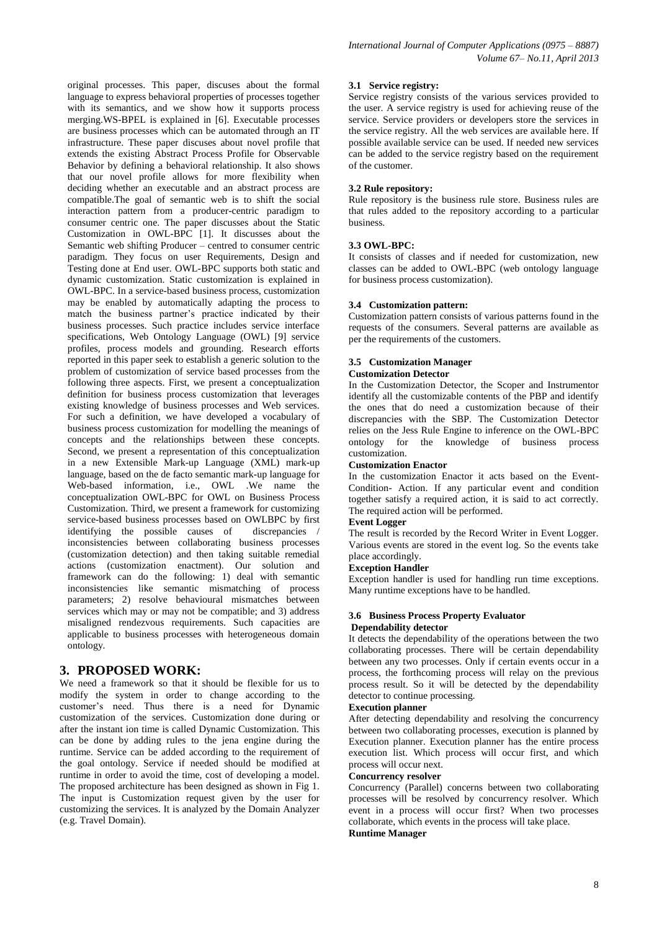original processes. This paper, discuses about the formal language to express behavioral properties of processes together with its semantics, and we show how it supports process merging.WS-BPEL is explained in [6]. Executable processes are business processes which can be automated through an IT infrastructure. These paper discuses about novel profile that extends the existing Abstract Process Profile for Observable Behavior by defining a behavioral relationship. It also shows that our novel profile allows for more flexibility when deciding whether an executable and an abstract process are compatible.The goal of semantic web is to shift the social interaction pattern from a producer-centric paradigm to consumer centric one. The paper discusses about the Static Customization in OWL-BPC [1]. It discusses about the Semantic web shifting Producer – centred to consumer centric paradigm. They focus on user Requirements, Design and Testing done at End user. OWL-BPC supports both static and dynamic customization. Static customization is explained in OWL-BPC. In a service-based business process, customization may be enabled by automatically adapting the process to match the business partner's practice indicated by their business processes. Such practice includes service interface specifications, Web Ontology Language (OWL) [9] service profiles, process models and grounding. Research efforts reported in this paper seek to establish a generic solution to the problem of customization of service based processes from the following three aspects. First, we present a conceptualization definition for business process customization that leverages existing knowledge of business processes and Web services. For such a definition, we have developed a vocabulary of business process customization for modelling the meanings of concepts and the relationships between these concepts. Second, we present a representation of this conceptualization in a new Extensible Mark-up Language (XML) mark-up language, based on the de facto semantic mark-up language for Web-based information, i.e., OWL .We name the conceptualization OWL-BPC for OWL on Business Process Customization. Third, we present a framework for customizing service-based business processes based on OWLBPC by first identifying the possible causes of discrepancies / inconsistencies between collaborating business processes (customization detection) and then taking suitable remedial actions (customization enactment). Our solution and framework can do the following: 1) deal with semantic inconsistencies like semantic mismatching of process parameters; 2) resolve behavioural mismatches between services which may or may not be compatible; and 3) address misaligned rendezvous requirements. Such capacities are applicable to business processes with heterogeneous domain ontology.

# **3. PROPOSED WORK:**

We need a framework so that it should be flexible for us to modify the system in order to change according to the customer's need. Thus there is a need for Dynamic customization of the services. Customization done during or after the instant ion time is called Dynamic Customization. This can be done by adding rules to the jena engine during the runtime. Service can be added according to the requirement of the goal ontology. Service if needed should be modified at runtime in order to avoid the time, cost of developing a model. The proposed architecture has been designed as shown in Fig 1. The input is Customization request given by the user for customizing the services. It is analyzed by the Domain Analyzer (e.g. Travel Domain).

#### **3.1 Service registry:**

Service registry consists of the various services provided to the user. A service registry is used for achieving reuse of the service. Service providers or developers store the services in the service registry. All the web services are available here. If possible available service can be used. If needed new services can be added to the service registry based on the requirement of the customer.

#### **3.2 Rule repository:**

Rule repository is the business rule store. Business rules are that rules added to the repository according to a particular business.

#### **3.3 OWL-BPC:**

It consists of classes and if needed for customization, new classes can be added to OWL-BPC (web ontology language for business process customization).

#### **3.4 Customization pattern:**

Customization pattern consists of various patterns found in the requests of the consumers. Several patterns are available as per the requirements of the customers.

#### **3.5 Customization Manager Customization Detector**

In the Customization Detector, the Scoper and Instrumentor identify all the customizable contents of the PBP and identify the ones that do need a customization because of their discrepancies with the SBP. The Customization Detector relies on the Jess Rule Engine to inference on the OWL-BPC ontology for the knowledge of business process customization.

## **Customization Enactor**

In the customization Enactor it acts based on the Event-Condition- Action. If any particular event and condition together satisfy a required action, it is said to act correctly. The required action will be performed.

#### **Event Logger**

The result is recorded by the Record Writer in Event Logger. Various events are stored in the event log. So the events take place accordingly.

#### **Exception Handler**

Exception handler is used for handling run time exceptions. Many runtime exceptions have to be handled.

#### **3.6 Business Process Property Evaluator Dependability detector**

It detects the dependability of the operations between the two collaborating processes. There will be certain dependability between any two processes. Only if certain events occur in a process, the forthcoming process will relay on the previous process result. So it will be detected by the dependability detector to continue processing.

#### **Execution planner**

After detecting dependability and resolving the concurrency between two collaborating processes, execution is planned by Execution planner. Execution planner has the entire process execution list. Which process will occur first, and which process will occur next.

#### **Concurrency resolver**

Concurrency (Parallel) concerns between two collaborating processes will be resolved by concurrency resolver. Which event in a process will occur first? When two processes collaborate, which events in the process will take place. **Runtime Manager**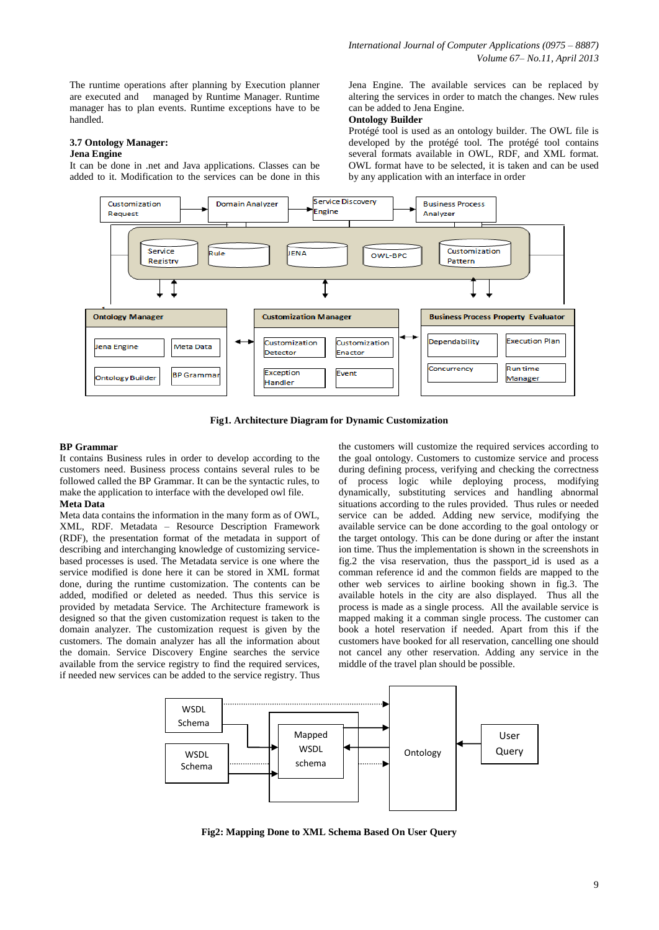The runtime operations after planning by Execution planner are executed and managed by Runtime Manager. Runtime manager has to plan events. Runtime exceptions have to be handled.

## **3.7 Ontology Manager:**

#### **Jena Engine**

It can be done in .net and Java applications. Classes can be added to it. Modification to the services can be done in this Jena Engine. The available services can be replaced by altering the services in order to match the changes. New rules can be added to Jena Engine.

#### **Ontology Builder**

Protégé tool is used as an ontology builder. The OWL file is developed by the protégé tool. The protégé tool contains several formats available in OWL, RDF, and XML format. OWL format have to be selected, it is taken and can be used by any application with an interface in order



**Fig1. Architecture Diagram for Dynamic Customization**

#### **BP Grammar**

It contains Business rules in order to develop according to the customers need. Business process contains several rules to be followed called the BP Grammar. It can be the syntactic rules, to make the application to interface with the developed owl file. **Meta Data** 

Meta data contains the information in the many form as of OWL, XML, RDF. Metadata – Resource Description Framework (RDF), the presentation format of the metadata in support of describing and interchanging knowledge of customizing servicebased processes is used. The Metadata service is one where the service modified is done here it can be stored in XML format done, during the runtime customization. The contents can be added, modified or deleted as needed. Thus this service is provided by metadata Service. The Architecture framework is designed so that the given customization request is taken to the domain analyzer. The customization request is given by the customers. The domain analyzer has all the information about the domain. Service Discovery Engine searches the service available from the service registry to find the required services, if needed new services can be added to the service registry. Thus

the customers will customize the required services according to the goal ontology. Customers to customize service and process during defining process, verifying and checking the correctness of process logic while deploying process, modifying dynamically, substituting services and handling abnormal situations according to the rules provided. Thus rules or needed service can be added. Adding new service, modifying the available service can be done according to the goal ontology or the target ontology. This can be done during or after the instant ion time. Thus the implementation is shown in the screenshots in fig.2 the visa reservation, thus the passport\_id is used as a comman reference id and the common fields are mapped to the other web services to airline booking shown in fig.3. The available hotels in the city are also displayed. Thus all the process is made as a single process. All the available service is mapped making it a comman single process. The customer can book a hotel reservation if needed. Apart from this if the customers have booked for all reservation, cancelling one should not cancel any other reservation. Adding any service in the middle of the travel plan should be possible.



**Fig2: Mapping Done to XML Schema Based On User Query**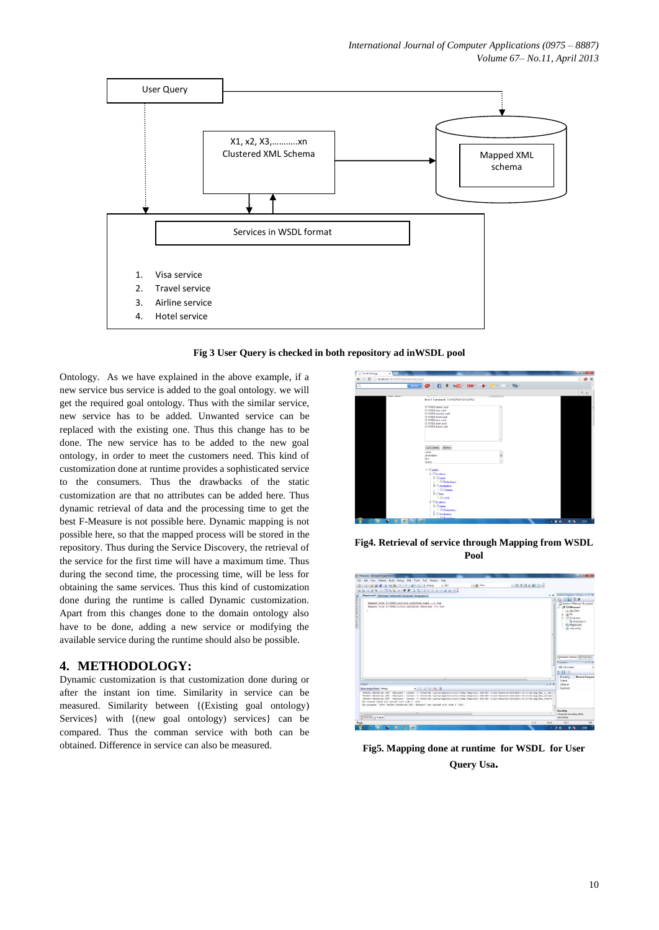

**Fig 3 User Query is checked in both repository ad inWSDL pool**

Ontology. As we have explained in the above example, if a new service bus service is added to the goal ontology. we will get the required goal ontology. Thus with the similar service, new service has to be added. Unwanted service can be replaced with the existing one. Thus this change has to be done. The new service has to be added to the new goal ontology, in order to meet the customers need. This kind of customization done at runtime provides a sophisticated service to the consumers. Thus the drawbacks of the static customization are that no attributes can be added here. Thus dynamic retrieval of data and the processing time to get the best F-Measure is not possible here. Dynamic mapping is not possible here, so that the mapped process will be stored in the repository. Thus during the Service Discovery, the retrieval of the service for the first time will have a maximum time. Thus during the second time, the processing time, will be less for obtaining the same services. Thus this kind of customization done during the runtime is called Dynamic customization. Apart from this changes done to the domain ontology also have to be done, adding a new service or modifying the available service during the runtime should also be possible.

## **4. METHODOLOGY:**

Dynamic customization is that customization done during or after the instant ion time. Similarity in service can be measured. Similarity between {(Existing goal ontology) Services} with {(new goal ontology) services} can be compared. Thus the comman service with both can be obtained. Difference in service can also be measured.



**Fig4. Retrieval of service through Mapping from WSDL Pool**



**Fig5. Mapping done at runtime for WSDL for User Query Usa.**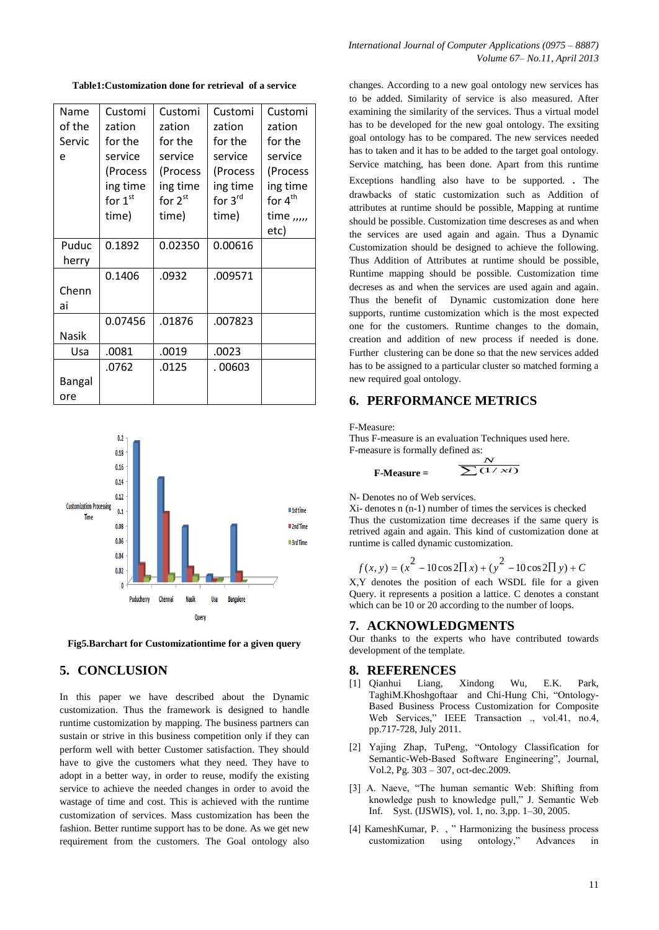**Table1:Customization done for retrieval of a service**

| Name   | Customi   | Customi   | Customi  | Customi             |
|--------|-----------|-----------|----------|---------------------|
|        |           |           |          |                     |
| of the | zation    | zation    | zation   | zation              |
| Servic | for the   | for the   | for the  | for the             |
| e      | service   | service   | service  | service             |
|        | (Process  | (Process  | (Process | (Process            |
|        | ing time  | ing time  | ing time | ing time            |
|        | for $1st$ | for $2st$ | for 3rd  | for 4 <sup>th</sup> |
|        | time)     | time)     | time)    | time ,,,,,          |
|        |           |           |          | etc)                |
| Puduc  | 0.1892    | 0.02350   | 0.00616  |                     |
| herry  |           |           |          |                     |
|        | 0.1406    | .0932     | .009571  |                     |
| Chenn  |           |           |          |                     |
| ai     |           |           |          |                     |
|        | 0.07456   | .01876    | .007823  |                     |
| Nasik  |           |           |          |                     |
| Usa    | .0081     | .0019     | .0023    |                     |
|        | .0762     | .0125     | . 00603  |                     |
| Bangal |           |           |          |                     |
| ore    |           |           |          |                     |



**Fig5.Barchart for Customizationtime for a given query**

# **5. CONCLUSION**

In this paper we have described about the Dynamic customization. Thus the framework is designed to handle runtime customization by mapping. The business partners can sustain or strive in this business competition only if they can perform well with better Customer satisfaction. They should have to give the customers what they need. They have to adopt in a better way, in order to reuse, modify the existing service to achieve the needed changes in order to avoid the wastage of time and cost. This is achieved with the runtime customization of services. Mass customization has been the fashion. Better runtime support has to be done. As we get new requirement from the customers. The Goal ontology also changes. According to a new goal ontology new services has to be added. Similarity of service is also measured. After examining the similarity of the services. Thus a virtual model has to be developed for the new goal ontology. The exsiting goal ontology has to be compared. The new services needed has to taken and it has to be added to the target goal ontology. Service matching, has been done. Apart from this runtime Exceptions handling also have to be supported. . The drawbacks of static customization such as Addition of attributes at runtime should be possible, Mapping at runtime should be possible. Customization time descreses as and when the services are used again and again. Thus a Dynamic Customization should be designed to achieve the following. Thus Addition of Attributes at runtime should be possible, Runtime mapping should be possible. Customization time decreses as and when the services are used again and again. Thus the benefit of Dynamic customization done here supports, runtime customization which is the most expected one for the customers. Runtime changes to the domain, creation and addition of new process if needed is done. Further clustering can be done so that the new services added has to be assigned to a particular cluster so matched forming a

## **6. PERFORMANCE METRICS**

F-Measure:

Thus F-measure is an evaluation Techniques used here. F-measure is formally defined as: *N*

$$
\text{F-Measure} = \frac{N}{\sum (1/xi)}
$$

N- Denotes no of Web services.

new required goal ontology.

Xi- denotes n (n-1) number of times the services is checked Thus the customization time decreases if the same query is retrived again and again. This kind of customization done at runtime is called dynamic customization.

$$
f(x, y) = (x^{2} - 10\cos 2\Pi x) + (y^{2} - 10\cos 2\Pi y) + C
$$

X,Y denotes the position of each WSDL file for a given Query. it represents a position a lattice. C denotes a constant which can be 10 or 20 according to the number of loops.

## **7. ACKNOWLEDGMENTS**

Our thanks to the experts who have contributed towards development of the template.

### **8. REFERENCES**

- [1] Qianhui Liang, Xindong Wu, E.K. Park, TaghiM.Khoshgoftaar and Chi-Hung Chi, "Ontology-Based Business Process Customization for Composite Web Services," IEEE Transaction ., vol.41, no.4, pp.717-728, July 2011.
- [2] Yajing Zhap, TuPeng, "Ontology Classification for Semantic-Web-Based Software Engineering", Journal, Vol.2, Pg. 303 – 307, oct-dec.2009.
- [3] A. Naeve, "The human semantic Web: Shifting from knowledge push to knowledge pull," J. Semantic Web Inf. Syst. (IJSWIS), vol. 1, no. 3,pp. 1–30, 2005.
- [4] [KameshKumar, P.](http://ieeexplore.ieee.org/search/searchresult.jsp?searchWithin=p_Authors:.QT.KameshKumar,%20P..QT.&newsearch=partialPref) , " Harmonizing the business process customization using ontology," Advances in